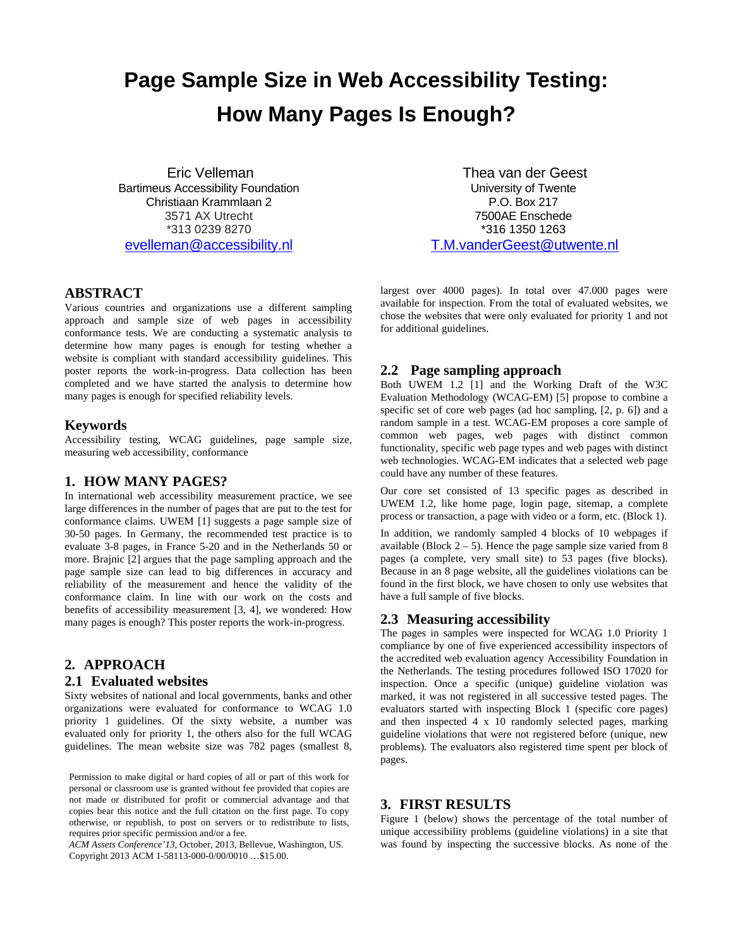# **Page Sample Size in Web Accessibility Testing: How Many Pages Is Enough?**

Eric Velleman Bartimeus Accessibility Foundation Christiaan Krammlaan 2 3571 AX Utrecht \*313 0239 8270 [evelleman@accessibility.nl](mailto:evelleman@accessibility.nl)

Thea van der Geest University of Twente P.O. Box 217 7500AE Enschede \*316 1350 1263 [T.M.vanderGeest@utwente.nl](mailto:T.M.vanderGeest@utwente.nl)

#### **ABSTRACT**

Various countries and organizations use a different sampling approach and sample size of web pages in accessibility conformance tests. We are conducting a systematic analysis to determine how many pages is enough for testing whether a website is compliant with standard accessibility guidelines. This poster reports the work-in-progress. Data collection has been completed and we have started the analysis to determine how many pages is enough for specified reliability levels.

#### **Keywords**

Accessibility testing, WCAG guidelines, page sample size, measuring web accessibility, conformance

# **1. HOW MANY PAGES?**

In international web accessibility measurement practice, we see large differences in the number of pages that are put to the test for conformance claims. UWEM [1] suggests a page sample size of 30-50 pages. In Germany, the recommended test practice is to evaluate 3-8 pages, in France 5-20 and in the Netherlands 50 or more. Brajnic [2] argues that the page sampling approach and the page sample size can lead to big differences in accuracy and reliability of the measurement and hence the validity of the conformance claim. In line with our work on the costs and benefits of accessibility measurement [3, 4], we wondered: How many pages is enough? This poster reports the work-in-progress.

# **2. APPROACH**

#### **2.1 Evaluated websites**

Sixty websites of national and local governments, banks and other organizations were evaluated for conformance to WCAG 1.0 priority 1 guidelines. Of the sixty website, a number was evaluated only for priority 1, the others also for the full WCAG guidelines. The mean website size was 782 pages (smallest 8,

Permission to make digital or hard copies of all or part of this work for personal or classroom use is granted without fee provided that copies are not made or distributed for profit or commercial advantage and that copies bear this notice and the full citation on the first page. To copy otherwise, or republish, to post on servers or to redistribute to lists, requires prior specific permission and/or a fee.

*ACM Assets Conference'13*, October, 2013, Bellevue, Washington, US. Copyright 2013 ACM 1-58113-000-0/00/0010 …\$15.00.

largest over 4000 pages). In total over 47.000 pages were available for inspection. From the total of evaluated websites, we chose the websites that were only evaluated for priority 1 and not for additional guidelines.

## **2.2 Page sampling approach**

Both UWEM 1.2 [1] and the Working Draft of the W3C Evaluation Methodology (WCAG-EM) [5] propose to combine a specific set of core web pages (ad hoc sampling, [2, p. 6]) and a random sample in a test. WCAG-EM proposes a core sample of common web pages, web pages with distinct common functionality, specific web page types and web pages with distinct web technologies. WCAG-EM indicates that a selected web page could have any number of these features.

Our core set consisted of 13 specific pages as described in UWEM 1.2, like home page, login page, sitemap, a complete process or transaction, a page with video or a form, etc. (Block 1).

In addition, we randomly sampled 4 blocks of 10 webpages if available (Block  $2 - 5$ ). Hence the page sample size varied from 8 pages (a complete, very small site) to 53 pages (five blocks). Because in an 8 page website, all the guidelines violations can be found in the first block, we have chosen to only use websites that have a full sample of five blocks.

#### **2.3 Measuring accessibility**

The pages in samples were inspected for WCAG 1.0 Priority 1 compliance by one of five experienced accessibility inspectors of the accredited web evaluation agency Accessibility Foundation in the Netherlands. The testing procedures followed ISO 17020 for inspection. Once a specific (unique) guideline violation was marked, it was not registered in all successive tested pages. The evaluators started with inspecting Block 1 (specific core pages) and then inspected 4 x 10 randomly selected pages, marking guideline violations that were not registered before (unique, new problems). The evaluators also registered time spent per block of pages.

# **3. FIRST RESULTS**

Figure 1 (below) shows the percentage of the total number of unique accessibility problems (guideline violations) in a site that was found by inspecting the successive blocks. As none of the